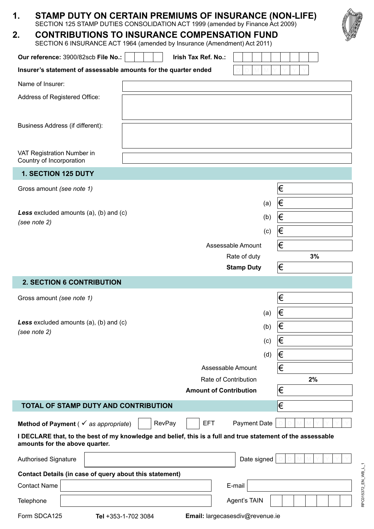| Irish Tax Ref. No.:<br>Our reference: 3900/82scb File No.:<br>Insurer's statement of assessable amounts for the quarter ended<br>Name of Insurer:<br>Address of Registered Office:<br>Business Address (if different):<br>VAT Registration Number in<br>Country of Incorporation<br>1. SECTION 125 DUTY<br>€<br>Gross amount (see note 1)<br>€<br>(a)<br><b>Less</b> excluded amounts (a), (b) and (c)<br>€<br>(b)<br>(see note 2)<br>€<br>(c)<br>€<br>Assessable Amount<br>3%<br>Rate of duty<br>€<br><b>Stamp Duty</b><br><b>2. SECTION 6 CONTRIBUTION</b><br>€<br>Gross amount (see note 1)<br>€<br>(a)<br><b>Less</b> excluded amounts (a), (b) and (c)<br>€<br>(b)<br>(see note 2)<br>€<br>(c)<br>€<br>(d)<br>€<br>Assessable Amount<br>2%<br>Rate of Contribution<br>€<br><b>Amount of Contribution</b><br>€<br>TOTAL OF STAMP DUTY AND CONTRIBUTION<br>RevPay<br><b>EFT</b><br><b>Payment Date</b><br>Method of Payment ( $\checkmark$ as appropriate)<br>I DECLARE that, to the best of my knowledge and belief, this is a full and true statement of the assessable<br>amounts for the above quarter.<br>Date signed<br><b>Authorised Signature</b><br>Contact Details (in case of query about this statement)<br><b>Contact Name</b><br>E-mail | <b>CONTRIBUTIONS TO INSURANCE COMPENSATION FUND</b><br>SECTION 6 INSURANCE ACT 1964 (amended by Insurance (Amendment) Act 2011) |  |
|----------------------------------------------------------------------------------------------------------------------------------------------------------------------------------------------------------------------------------------------------------------------------------------------------------------------------------------------------------------------------------------------------------------------------------------------------------------------------------------------------------------------------------------------------------------------------------------------------------------------------------------------------------------------------------------------------------------------------------------------------------------------------------------------------------------------------------------------------------------------------------------------------------------------------------------------------------------------------------------------------------------------------------------------------------------------------------------------------------------------------------------------------------------------------------------------------------------------------------------------------------|---------------------------------------------------------------------------------------------------------------------------------|--|
|                                                                                                                                                                                                                                                                                                                                                                                                                                                                                                                                                                                                                                                                                                                                                                                                                                                                                                                                                                                                                                                                                                                                                                                                                                                          |                                                                                                                                 |  |
|                                                                                                                                                                                                                                                                                                                                                                                                                                                                                                                                                                                                                                                                                                                                                                                                                                                                                                                                                                                                                                                                                                                                                                                                                                                          |                                                                                                                                 |  |
|                                                                                                                                                                                                                                                                                                                                                                                                                                                                                                                                                                                                                                                                                                                                                                                                                                                                                                                                                                                                                                                                                                                                                                                                                                                          |                                                                                                                                 |  |
|                                                                                                                                                                                                                                                                                                                                                                                                                                                                                                                                                                                                                                                                                                                                                                                                                                                                                                                                                                                                                                                                                                                                                                                                                                                          |                                                                                                                                 |  |
|                                                                                                                                                                                                                                                                                                                                                                                                                                                                                                                                                                                                                                                                                                                                                                                                                                                                                                                                                                                                                                                                                                                                                                                                                                                          |                                                                                                                                 |  |
|                                                                                                                                                                                                                                                                                                                                                                                                                                                                                                                                                                                                                                                                                                                                                                                                                                                                                                                                                                                                                                                                                                                                                                                                                                                          |                                                                                                                                 |  |
|                                                                                                                                                                                                                                                                                                                                                                                                                                                                                                                                                                                                                                                                                                                                                                                                                                                                                                                                                                                                                                                                                                                                                                                                                                                          |                                                                                                                                 |  |
|                                                                                                                                                                                                                                                                                                                                                                                                                                                                                                                                                                                                                                                                                                                                                                                                                                                                                                                                                                                                                                                                                                                                                                                                                                                          |                                                                                                                                 |  |
|                                                                                                                                                                                                                                                                                                                                                                                                                                                                                                                                                                                                                                                                                                                                                                                                                                                                                                                                                                                                                                                                                                                                                                                                                                                          |                                                                                                                                 |  |
|                                                                                                                                                                                                                                                                                                                                                                                                                                                                                                                                                                                                                                                                                                                                                                                                                                                                                                                                                                                                                                                                                                                                                                                                                                                          |                                                                                                                                 |  |
|                                                                                                                                                                                                                                                                                                                                                                                                                                                                                                                                                                                                                                                                                                                                                                                                                                                                                                                                                                                                                                                                                                                                                                                                                                                          |                                                                                                                                 |  |
|                                                                                                                                                                                                                                                                                                                                                                                                                                                                                                                                                                                                                                                                                                                                                                                                                                                                                                                                                                                                                                                                                                                                                                                                                                                          |                                                                                                                                 |  |
|                                                                                                                                                                                                                                                                                                                                                                                                                                                                                                                                                                                                                                                                                                                                                                                                                                                                                                                                                                                                                                                                                                                                                                                                                                                          |                                                                                                                                 |  |
|                                                                                                                                                                                                                                                                                                                                                                                                                                                                                                                                                                                                                                                                                                                                                                                                                                                                                                                                                                                                                                                                                                                                                                                                                                                          |                                                                                                                                 |  |
|                                                                                                                                                                                                                                                                                                                                                                                                                                                                                                                                                                                                                                                                                                                                                                                                                                                                                                                                                                                                                                                                                                                                                                                                                                                          |                                                                                                                                 |  |
|                                                                                                                                                                                                                                                                                                                                                                                                                                                                                                                                                                                                                                                                                                                                                                                                                                                                                                                                                                                                                                                                                                                                                                                                                                                          |                                                                                                                                 |  |
|                                                                                                                                                                                                                                                                                                                                                                                                                                                                                                                                                                                                                                                                                                                                                                                                                                                                                                                                                                                                                                                                                                                                                                                                                                                          |                                                                                                                                 |  |
|                                                                                                                                                                                                                                                                                                                                                                                                                                                                                                                                                                                                                                                                                                                                                                                                                                                                                                                                                                                                                                                                                                                                                                                                                                                          |                                                                                                                                 |  |
|                                                                                                                                                                                                                                                                                                                                                                                                                                                                                                                                                                                                                                                                                                                                                                                                                                                                                                                                                                                                                                                                                                                                                                                                                                                          |                                                                                                                                 |  |
|                                                                                                                                                                                                                                                                                                                                                                                                                                                                                                                                                                                                                                                                                                                                                                                                                                                                                                                                                                                                                                                                                                                                                                                                                                                          |                                                                                                                                 |  |
|                                                                                                                                                                                                                                                                                                                                                                                                                                                                                                                                                                                                                                                                                                                                                                                                                                                                                                                                                                                                                                                                                                                                                                                                                                                          |                                                                                                                                 |  |
|                                                                                                                                                                                                                                                                                                                                                                                                                                                                                                                                                                                                                                                                                                                                                                                                                                                                                                                                                                                                                                                                                                                                                                                                                                                          |                                                                                                                                 |  |
|                                                                                                                                                                                                                                                                                                                                                                                                                                                                                                                                                                                                                                                                                                                                                                                                                                                                                                                                                                                                                                                                                                                                                                                                                                                          |                                                                                                                                 |  |
|                                                                                                                                                                                                                                                                                                                                                                                                                                                                                                                                                                                                                                                                                                                                                                                                                                                                                                                                                                                                                                                                                                                                                                                                                                                          |                                                                                                                                 |  |
|                                                                                                                                                                                                                                                                                                                                                                                                                                                                                                                                                                                                                                                                                                                                                                                                                                                                                                                                                                                                                                                                                                                                                                                                                                                          |                                                                                                                                 |  |
|                                                                                                                                                                                                                                                                                                                                                                                                                                                                                                                                                                                                                                                                                                                                                                                                                                                                                                                                                                                                                                                                                                                                                                                                                                                          |                                                                                                                                 |  |
|                                                                                                                                                                                                                                                                                                                                                                                                                                                                                                                                                                                                                                                                                                                                                                                                                                                                                                                                                                                                                                                                                                                                                                                                                                                          |                                                                                                                                 |  |
|                                                                                                                                                                                                                                                                                                                                                                                                                                                                                                                                                                                                                                                                                                                                                                                                                                                                                                                                                                                                                                                                                                                                                                                                                                                          |                                                                                                                                 |  |
|                                                                                                                                                                                                                                                                                                                                                                                                                                                                                                                                                                                                                                                                                                                                                                                                                                                                                                                                                                                                                                                                                                                                                                                                                                                          |                                                                                                                                 |  |

| I |  |
|---|--|
| i |  |
|   |  |
| I |  |
|   |  |
|   |  |

Form SDCA125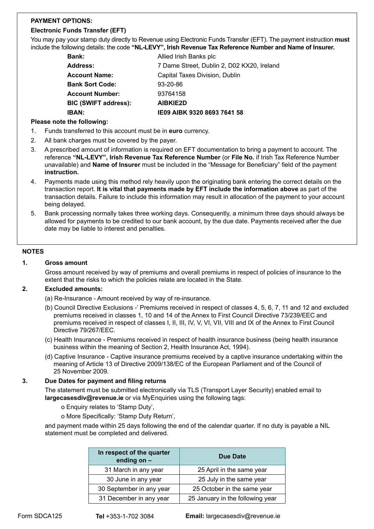# **PAYMENT OPTIONS:**

## **Electronic Funds Transfer (EFT)**

You may pay your stamp duty directly to Revenue using Electronic Funds Transfer (EFT). The payment instruction **must**  include the following details: the code **"NL-LEVY", Irish Revenue Tax Reference Number and Name of Insurer.**

| <b>IBAN:</b>                | IE09 AIBK 9320 8693 7641 58                |  |
|-----------------------------|--------------------------------------------|--|
| <b>BIC (SWIFT address):</b> | AIBKIE2D                                   |  |
| <b>Account Number:</b>      | 93764158                                   |  |
| <b>Bank Sort Code:</b>      | $93 - 20 - 86$                             |  |
| <b>Account Name:</b>        | Capital Taxes Division, Dublin             |  |
| <b>Address:</b>             | 7 Dame Street, Dublin 2, D02 KX20, Ireland |  |
| Bank:                       | Allied Irish Banks plc                     |  |

### **Please note the following:**

- 1. Funds transferred to this account must be in **euro** currency.
- 2. All bank charges must be covered by the payer.
- 3. A prescribed amount of information is required on EFT documentation to bring a payment to account. The reference **"NL-LEVY", Irish Revenue Tax Reference Number** (or **File No.** if Irish Tax Reference Number unavailable) and **Name of Insurer** must be included in the "Message for Beneficiary" field of the payment **instruction.**
- 4. Payments made using this method rely heavily upon the originating bank entering the correct details on the transaction report. **It is vital that payments made by EFT include the information above** as part of the transaction details. Failure to include this information may result in allocation of the payment to your account being delayed.
- 5. Bank processing normally takes three working days. Consequently, a minimum three days should always be allowed for payments to be credited to our bank account, by the due date. Payments received after the due date may be liable to interest and penalties.

### **NOTES**

### **1. Gross amount**

Gross amount received by way of premiums and overall premiums in respect of policies of insurance to the extent that the risks to which the policies relate are located in the State.

#### **2. Excluded amounts:**

- (a) Re-Insurance Amount received by way of re-insurance.
- (b) Council Directive Exclusions -' Premiums received in respect of classes 4, 5, 6, 7, 11 and 12 and excluded premiums received in classes 1, 10 and 14 of the Annex to First Council Directive 73/239/EEC and premiums received in respect of classes I, II, III, IV, V, VI, VII, VIII and IX of the Annex to First Council Directive 79/267/EEC.
- (c) Health Insurance Premiums received in respect of health insurance business (being health insurance business within the meaning of Section 2, Health Insurance Act, 1994).
- (d) Captive Insurance Captive insurance premiums received by a captive insurance undertaking within the [meaning of Article 13 of](mailto:largecasesdiv@revenue.ie) Directive 2009/138/EC of the European Parliament and of the Council of 25 November 2009.

## **3. Due Dates for payment and filing returns**

The statement must be submitted electronically via TLS (Transport Layer Security) enabled email to **largecasesdiv@revenue.ie** or via MyEnquiries using the following tags:

- o Enquiry relates to 'Stamp Duty',
- o More Specifically: 'Stamp Duty Return',

and payment made within 25 days following the end of the calendar quarter. If no duty is payable a NIL statement must be completed and delivered.

| In respect of the quarter<br>ending on - | Due Date                         |
|------------------------------------------|----------------------------------|
| 31 March in any year                     | 25 April in the same year        |
| 30 June in any year                      | 25 July in the same year         |
| 30 September in any year                 | 25 October in the same year      |
| 31 December in any year                  | 25 January in the following year |